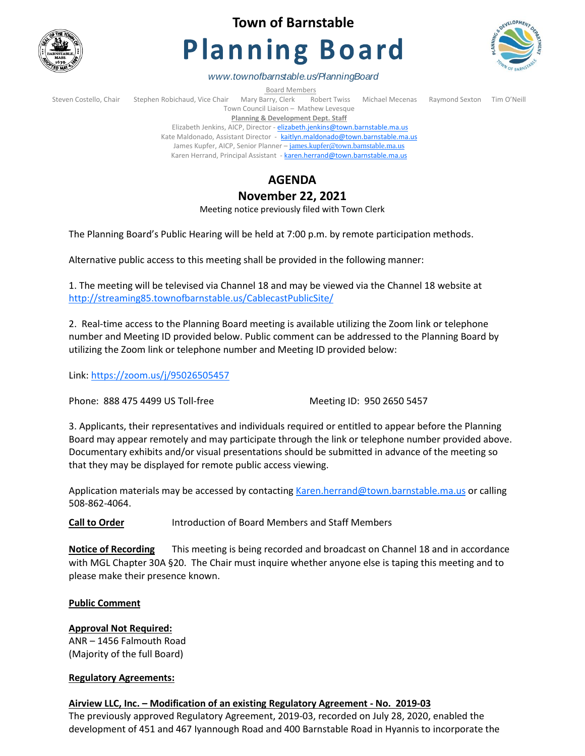

# **Town of Barnstable**

# **Planning Board**



*www.townofbarnstable.us/PlanningBoard*

Board Members<br>Stephen Robichaud, Vice Chair Mary Barry, Clerk Re Steven Costello, Chair Stephen Robichaud, Vice Chair Mary Barry, Clerk Robert Twiss Michael Mecenas Raymond Sexton Tim O'Neill Town Council Liaison – Mathew Levesque **Planning & Development Dept. Staff** 

Elizabeth Jenkins, AICP, Director - [elizabeth.jenkins@town.barnstable.ma.us](mailto:elizabeth.jenkins@town.barnstable.ma.us) Kate Maldonado, Assistant Director - [kaitlyn.maldonado@town.barnstable.ma.us](mailto:kaitlyn.maldonado@town.barnstable.ma.us) James Kupfer, AICP, Senior Planner - [james.kupfer@town.barnstable.ma.us](mailto:james.kupfer@town.barnstable.ma.us) Karen Herrand, Principal Assistant - [karen.herrand@town.barnstable.ma.us](mailto:karen.herrand@town.barnstable.ma.us)

# **AGENDA**

## **November 22, 2021**

Meeting notice previously filed with Town Clerk

The Planning Board's Public Hearing will be held at 7:00 p.m. by remote participation methods.

Alternative public access to this meeting shall be provided in the following manner:

1. The meeting will be televised via Channel 18 and may be viewed via the Channel 18 website at <http://streaming85.townofbarnstable.us/CablecastPublicSite/>

2. Real-time access to the Planning Board meeting is available utilizing the Zoom link or telephone number and Meeting ID provided below. Public comment can be addressed to the Planning Board by utilizing the Zoom link or telephone number and Meeting ID provided below:

Link:<https://zoom.us/j/95026505457>

Phone: 888 475 4499 US Toll-free Meeting ID: 950 2650 5457

3. Applicants, their representatives and individuals required or entitled to appear before the Planning Board may appear remotely and may participate through the link or telephone number provided above. Documentary exhibits and/or visual presentations should be submitted in advance of the meeting so that they may be displayed for remote public access viewing.

Application materials may be accessed by contacting [Karen.herrand@town.barnstable.ma.us](mailto:Karen.herrand@town.barnstable.ma.us) or calling 508-862-4064.

**Call to Order** Introduction of Board Members and Staff Members

**Notice of Recording** This meeting is being recorded and broadcast on Channel 18 and in accordance with MGL Chapter 30A §20. The Chair must inquire whether anyone else is taping this meeting and to please make their presence known.

#### **Public Comment**

### **Approval Not Required:**

ANR – 1456 Falmouth Road (Majority of the full Board)

#### **Regulatory Agreements:**

#### **Airview LLC, Inc. – Modification of an existing Regulatory Agreement - No. 2019-03**

The previously approved Regulatory Agreement, 2019-03, recorded on July 28, 2020, enabled the development of 451 and 467 Iyannough Road and 400 Barnstable Road in Hyannis to incorporate the